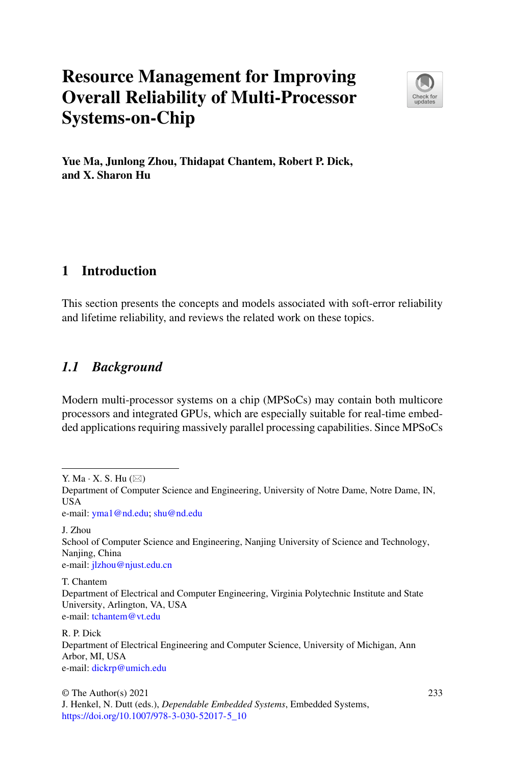# **Resource Management for Improving Overall Reliability of Multi-Processor Systems-on-Chip**



**Yue Ma, Junlong Zhou, Thidapat Chantem, Robert P. Dick, and X. Sharon Hu**

# <span id="page-0-0"></span>**1 Introduction**

This section presents the concepts and models associated with soft-error reliability and lifetime reliability, and reviews the related work on these topics.

# *1.1 Background*

Modern multi-processor systems on a chip (MPSoCs) may contain both multicore processors and integrated GPUs, which are especially suitable for real-time embedded applications requiring massively parallel processing capabilities. Since MPSoCs

Y. Ma $\cdot$  X. S. Hu ( $\boxtimes$ )

e-mail: [yma1@nd.edu;](mailto:yma1@nd.edu) [shu@nd.edu](mailto:shu@nd.edu)

J. Zhou

School of Computer Science and Engineering, Nanjing University of Science and Technology, Nanjing, China e-mail: [jlzhou@njust.edu.cn](mailto:jlzhou@njust.edu.cn)

T. Chantem Department of Electrical and Computer Engineering, Virginia Polytechnic Institute and State University, Arlington, VA, USA e-mail: [tchantem@vt.edu](mailto:tchantem@vt.edu)

R. P. Dick Department of Electrical Engineering and Computer Science, University of Michigan, Ann Arbor, MI, USA e-mail: [dickrp@umich.edu](mailto:dickrp@umich.edu)

Department of Computer Science and Engineering, University of Notre Dame, Notre Dame, IN, USA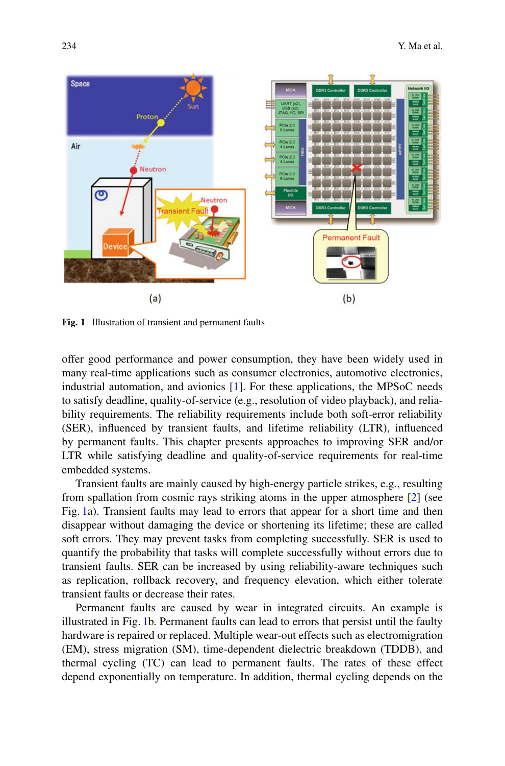

<span id="page-1-0"></span>**Fig. 1** Illustration of transient and permanent faults

offer good performance and power consumption, they have been widely used in many real-time applications such as consumer electronics, automotive electronics, industrial automation, and avionics [\[1\]](#page-12-0). For these applications, the MPSoC needs to satisfy deadline, quality-of-service (e.g., resolution of video playback), and reliability requirements. The reliability requirements include both soft-error reliability (SER), influenced by transient faults, and lifetime reliability (LTR), influenced by permanent faults. This chapter presents approaches to improving SER and/or LTR while satisfying deadline and quality-of-service requirements for real-time embedded systems.

Transient faults are mainly caused by high-energy particle strikes, e.g., resulting from spallation from cosmic rays striking atoms in the upper atmosphere [\[2\]](#page-12-1) (see Fig. [1a](#page-1-0)). Transient faults may lead to errors that appear for a short time and then disappear without damaging the device or shortening its lifetime; these are called soft errors. They may prevent tasks from completing successfully. SER is used to quantify the probability that tasks will complete successfully without errors due to transient faults. SER can be increased by using reliability-aware techniques such as replication, rollback recovery, and frequency elevation, which either tolerate transient faults or decrease their rates.

Permanent faults are caused by wear in integrated circuits. An example is illustrated in Fig. [1b](#page-1-0). Permanent faults can lead to errors that persist until the faulty hardware is repaired or replaced. Multiple wear-out effects such as electromigration (EM), stress migration (SM), time-dependent dielectric breakdown (TDDB), and thermal cycling (TC) can lead to permanent faults. The rates of these effect depend exponentially on temperature. In addition, thermal cycling depends on the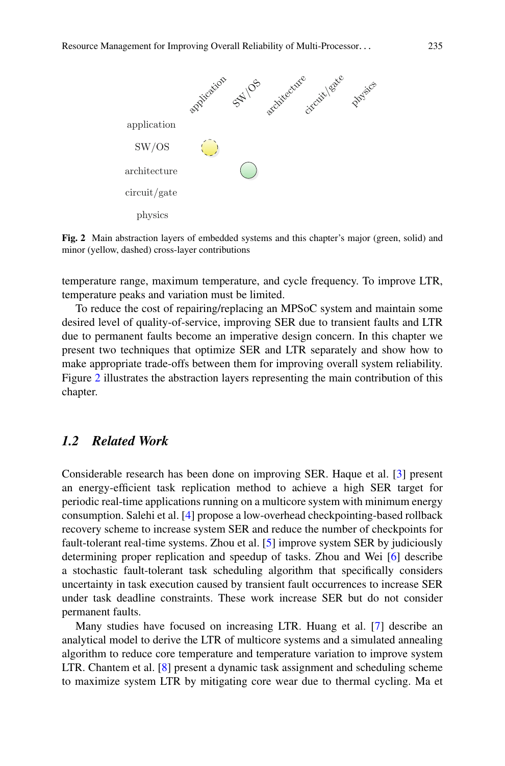

<span id="page-2-0"></span>**Fig. 2** Main abstraction layers of embedded systems and this chapter's major (green, solid) and minor (yellow, dashed) cross-layer contributions

temperature range, maximum temperature, and cycle frequency. To improve LTR, temperature peaks and variation must be limited.

To reduce the cost of repairing/replacing an MPSoC system and maintain some desired level of quality-of-service, improving SER due to transient faults and LTR due to permanent faults become an imperative design concern. In this chapter we present two techniques that optimize SER and LTR separately and show how to make appropriate trade-offs between them for improving overall system reliability. Figure [2](#page-2-0) illustrates the abstraction layers representing the main contribution of this chapter.

### *1.2 Related Work*

Considerable research has been done on improving SER. Haque et al. [\[3\]](#page-12-2) present an energy-efficient task replication method to achieve a high SER target for periodic real-time applications running on a multicore system with minimum energy consumption. Salehi et al. [\[4\]](#page-12-3) propose a low-overhead checkpointing-based rollback recovery scheme to increase system SER and reduce the number of checkpoints for fault-tolerant real-time systems. Zhou et al. [\[5\]](#page-12-4) improve system SER by judiciously determining proper replication and speedup of tasks. Zhou and Wei [\[6\]](#page-12-5) describe a stochastic fault-tolerant task scheduling algorithm that specifically considers uncertainty in task execution caused by transient fault occurrences to increase SER under task deadline constraints. These work increase SER but do not consider permanent faults.

Many studies have focused on increasing LTR. Huang et al. [\[7\]](#page-12-6) describe an analytical model to derive the LTR of multicore systems and a simulated annealing algorithm to reduce core temperature and temperature variation to improve system LTR. Chantem et al. [\[8\]](#page-12-7) present a dynamic task assignment and scheduling scheme to maximize system LTR by mitigating core wear due to thermal cycling. Ma et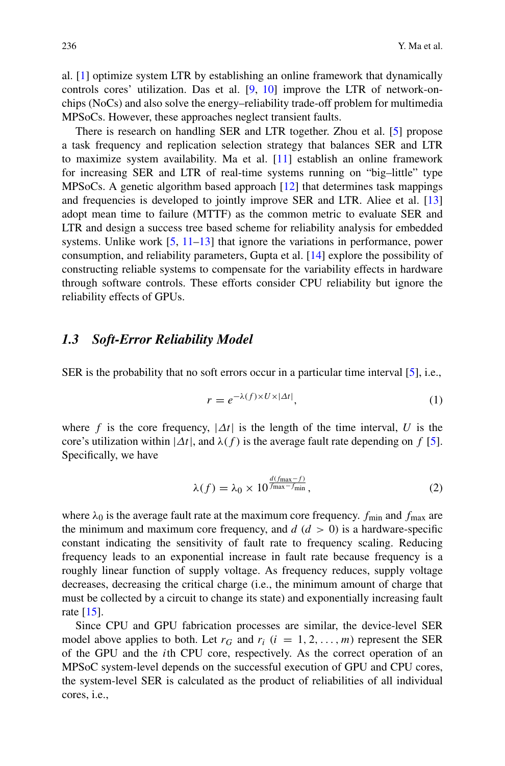al. [\[1\]](#page-12-0) optimize system LTR by establishing an online framework that dynamically controls cores' utilization. Das et al. [\[9,](#page-12-8) [10\]](#page-12-9) improve the LTR of network-onchips (NoCs) and also solve the energy–reliability trade-off problem for multimedia MPSoCs. However, these approaches neglect transient faults.

There is research on handling SER and LTR together. Zhou et al. [\[5\]](#page-12-4) propose a task frequency and replication selection strategy that balances SER and LTR to maximize system availability. Ma et al. [\[11\]](#page-12-10) establish an online framework for increasing SER and LTR of real-time systems running on "big–little" type MPSoCs. A genetic algorithm based approach [\[12\]](#page-12-11) that determines task mappings and frequencies is developed to jointly improve SER and LTR. Aliee et al. [\[13\]](#page-12-12) adopt mean time to failure (MTTF) as the common metric to evaluate SER and LTR and design a success tree based scheme for reliability analysis for embedded systems. Unlike work [\[5,](#page-12-4) [11](#page-12-10)[–13\]](#page-12-12) that ignore the variations in performance, power consumption, and reliability parameters, Gupta et al. [\[14\]](#page-12-13) explore the possibility of constructing reliable systems to compensate for the variability effects in hardware through software controls. These efforts consider CPU reliability but ignore the reliability effects of GPUs.

#### *1.3 Soft-Error Reliability Model*

SER is the probability that no soft errors occur in a particular time interval [\[5\]](#page-12-4), i.e.,

$$
r = e^{-\lambda(f) \times U \times |\Delta t|},\tag{1}
$$

where f is the core frequency,  $|\Delta t|$  is the length of the time interval, U is the core's utilization within  $|\Delta t|$ , and  $\lambda(f)$  is the average fault rate depending on f [\[5\]](#page-12-4). Specifically, we have

$$
\lambda(f) = \lambda_0 \times 10^{\frac{d(f_{\text{max}} - f)}{f_{\text{max}} - f_{\text{min}}}},\tag{2}
$$

where  $\lambda_0$  is the average fault rate at the maximum core frequency.  $f_{\text{min}}$  and  $f_{\text{max}}$  are the minimum and maximum core frequency, and  $d$  ( $d > 0$ ) is a hardware-specific constant indicating the sensitivity of fault rate to frequency scaling. Reducing frequency leads to an exponential increase in fault rate because frequency is a roughly linear function of supply voltage. As frequency reduces, supply voltage decreases, decreasing the critical charge (i.e., the minimum amount of charge that must be collected by a circuit to change its state) and exponentially increasing fault rate [\[15\]](#page-12-14).

Since CPU and GPU fabrication processes are similar, the device-level SER model above applies to both. Let  $r_G$  and  $r_i$  ( $i = 1, 2, ..., m$ ) represent the SER of the GPU and the ith CPU core, respectively. As the correct operation of an MPSoC system-level depends on the successful execution of GPU and CPU cores, the system-level SER is calculated as the product of reliabilities of all individual cores, i.e.,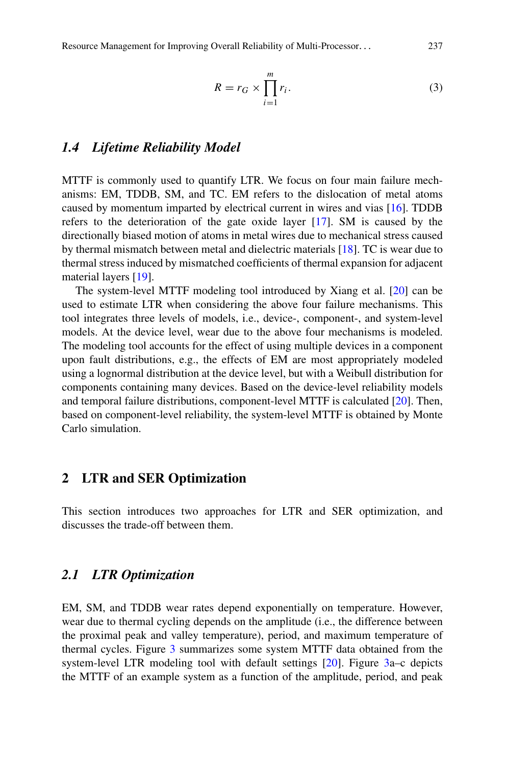Resource Management for Improving Overall Reliability of Multi-Processor... 237

$$
R = r_G \times \prod_{i=1}^{m} r_i.
$$
 (3)

#### *1.4 Lifetime Reliability Model*

MTTF is commonly used to quantify LTR. We focus on four main failure mechanisms: EM, TDDB, SM, and TC. EM refers to the dislocation of metal atoms caused by momentum imparted by electrical current in wires and vias [\[16\]](#page-12-15). TDDB refers to the deterioration of the gate oxide layer [\[17\]](#page-12-16). SM is caused by the directionally biased motion of atoms in metal wires due to mechanical stress caused by thermal mismatch between metal and dielectric materials [\[18\]](#page-12-17). TC is wear due to thermal stress induced by mismatched coefficients of thermal expansion for adjacent material layers [\[19\]](#page-12-18).

The system-level MTTF modeling tool introduced by Xiang et al. [\[20\]](#page-13-0) can be used to estimate LTR when considering the above four failure mechanisms. This tool integrates three levels of models, i.e., device-, component-, and system-level models. At the device level, wear due to the above four mechanisms is modeled. The modeling tool accounts for the effect of using multiple devices in a component upon fault distributions, e.g., the effects of EM are most appropriately modeled using a lognormal distribution at the device level, but with a Weibull distribution for components containing many devices. Based on the device-level reliability models and temporal failure distributions, component-level MTTF is calculated [\[20\]](#page-13-0). Then, based on component-level reliability, the system-level MTTF is obtained by Monte Carlo simulation.

#### **2 LTR and SER Optimization**

This section introduces two approaches for LTR and SER optimization, and discusses the trade-off between them.

#### *2.1 LTR Optimization*

EM, SM, and TDDB wear rates depend exponentially on temperature. However, wear due to thermal cycling depends on the amplitude (i.e., the difference between the proximal peak and valley temperature), period, and maximum temperature of thermal cycles. Figure [3](#page-5-0) summarizes some system MTTF data obtained from the system-level LTR modeling tool with default settings [\[20\]](#page-13-0). Figure [3a](#page-5-0)–c depicts the MTTF of an example system as a function of the amplitude, period, and peak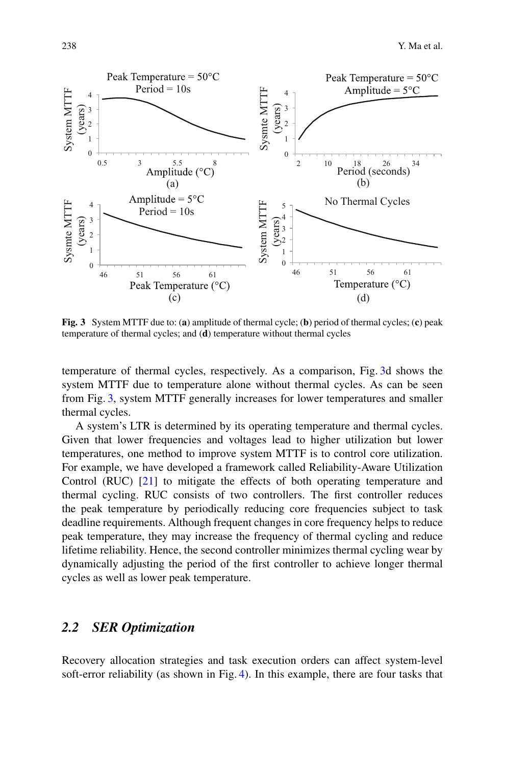

<span id="page-5-0"></span>**Fig. 3** System MTTF due to: (**a**) amplitude of thermal cycle; (**b**) period of thermal cycles; (**c**) peak temperature of thermal cycles; and (**d**) temperature without thermal cycles

temperature of thermal cycles, respectively. As a comparison, Fig. [3d](#page-5-0) shows the system MTTF due to temperature alone without thermal cycles. As can be seen from Fig. [3,](#page-5-0) system MTTF generally increases for lower temperatures and smaller thermal cycles.

A system's LTR is determined by its operating temperature and thermal cycles. Given that lower frequencies and voltages lead to higher utilization but lower temperatures, one method to improve system MTTF is to control core utilization. For example, we have developed a framework called Reliability-Aware Utilization Control (RUC) [\[21\]](#page-13-1) to mitigate the effects of both operating temperature and thermal cycling. RUC consists of two controllers. The first controller reduces the peak temperature by periodically reducing core frequencies subject to task deadline requirements. Although frequent changes in core frequency helps to reduce peak temperature, they may increase the frequency of thermal cycling and reduce lifetime reliability. Hence, the second controller minimizes thermal cycling wear by dynamically adjusting the period of the first controller to achieve longer thermal cycles as well as lower peak temperature.

# *2.2 SER Optimization*

Recovery allocation strategies and task execution orders can affect system-level soft-error reliability (as shown in Fig. [4\)](#page-6-0). In this example, there are four tasks that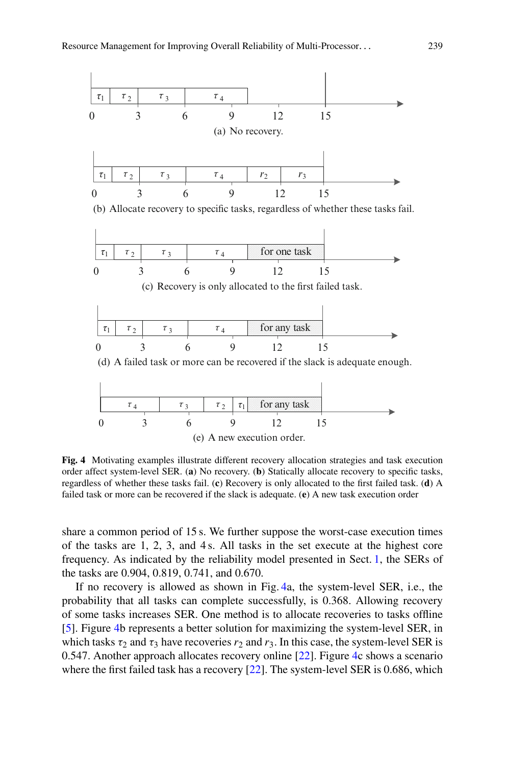

<span id="page-6-0"></span>**Fig. 4** Motivating examples illustrate different recovery allocation strategies and task execution order affect system-level SER. (**a**) No recovery. (**b**) Statically allocate recovery to specific tasks, regardless of whether these tasks fail. (**c**) Recovery is only allocated to the first failed task. (**d**) A failed task or more can be recovered if the slack is adequate. (**e**) A new task execution order

share a common period of 15 s. We further suppose the worst-case execution times of the tasks are 1, 2, 3, and 4 s. All tasks in the set execute at the highest core frequency. As indicated by the reliability model presented in Sect. [1,](#page-0-0) the SERs of the tasks are 0.904, 0.819, 0.741, and 0.670.

If no recovery is allowed as shown in Fig. [4a](#page-6-0), the system-level SER, i.e., the probability that all tasks can complete successfully, is 0.368. Allowing recovery of some tasks increases SER. One method is to allocate recoveries to tasks offline [\[5\]](#page-12-4). Figure [4b](#page-6-0) represents a better solution for maximizing the system-level SER, in which tasks  $\tau_2$  and  $\tau_3$  have recoveries  $r_2$  and  $r_3$ . In this case, the system-level SER is 0.547. Another approach allocates recovery online [\[22\]](#page-13-2). Figure [4c](#page-6-0) shows a scenario where the first failed task has a recovery [\[22\]](#page-13-2). The system-level SER is 0.686, which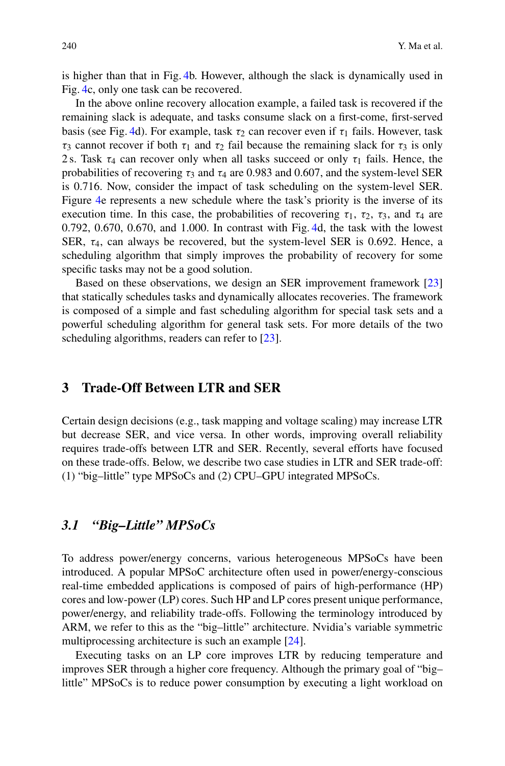is higher than that in Fig. [4b](#page-6-0). However, although the slack is dynamically used in Fig. [4c](#page-6-0), only one task can be recovered.

In the above online recovery allocation example, a failed task is recovered if the remaining slack is adequate, and tasks consume slack on a first-come, first-served basis (see Fig. [4d](#page-6-0)). For example, task  $\tau_2$  can recover even if  $\tau_1$  fails. However, task τ<sub>3</sub> cannot recover if both τ<sub>1</sub> and τ<sub>2</sub> fail because the remaining slack for τ<sub>3</sub> is only 2 s. Task  $\tau_4$  can recover only when all tasks succeed or only  $\tau_1$  fails. Hence, the probabilities of recovering  $\tau_3$  and  $\tau_4$  are 0.983 and 0.607, and the system-level SER is 0.716. Now, consider the impact of task scheduling on the system-level SER. Figure [4e](#page-6-0) represents a new schedule where the task's priority is the inverse of its execution time. In this case, the probabilities of recovering  $\tau_1$ ,  $\tau_2$ ,  $\tau_3$ , and  $\tau_4$  are 0.792, 0.670, 0.670, and 1.000. In contrast with Fig. [4d](#page-6-0), the task with the lowest SER,  $\tau_4$ , can always be recovered, but the system-level SER is 0.692. Hence, a scheduling algorithm that simply improves the probability of recovery for some specific tasks may not be a good solution.

Based on these observations, we design an SER improvement framework [\[23\]](#page-13-3) that statically schedules tasks and dynamically allocates recoveries. The framework is composed of a simple and fast scheduling algorithm for special task sets and a powerful scheduling algorithm for general task sets. For more details of the two scheduling algorithms, readers can refer to [\[23\]](#page-13-3).

#### **3 Trade-Off Between LTR and SER**

Certain design decisions (e.g., task mapping and voltage scaling) may increase LTR but decrease SER, and vice versa. In other words, improving overall reliability requires trade-offs between LTR and SER. Recently, several efforts have focused on these trade-offs. Below, we describe two case studies in LTR and SER trade-off: (1) "big–little" type MPSoCs and (2) CPU–GPU integrated MPSoCs.

#### *3.1 "Big–Little" MPSoCs*

To address power/energy concerns, various heterogeneous MPSoCs have been introduced. A popular MPSoC architecture often used in power/energy-conscious real-time embedded applications is composed of pairs of high-performance (HP) cores and low-power (LP) cores. Such HP and LP cores present unique performance, power/energy, and reliability trade-offs. Following the terminology introduced by ARM, we refer to this as the "big–little" architecture. Nvidia's variable symmetric multiprocessing architecture is such an example [\[24\]](#page-13-4).

Executing tasks on an LP core improves LTR by reducing temperature and improves SER through a higher core frequency. Although the primary goal of "big– little" MPSoCs is to reduce power consumption by executing a light workload on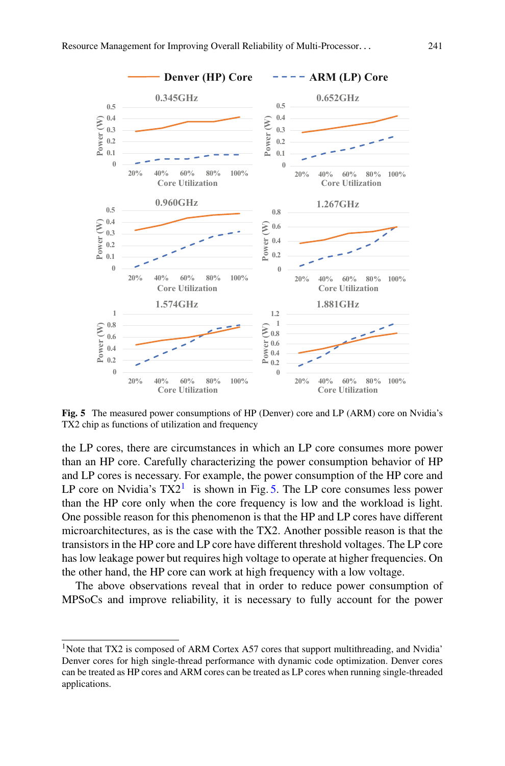

<span id="page-8-1"></span>**Fig. 5** The measured power consumptions of HP (Denver) core and LP (ARM) core on Nvidia's TX2 chip as functions of utilization and frequency

the LP cores, there are circumstances in which an LP core consumes more power than an HP core. Carefully characterizing the power consumption behavior of HP and LP cores is necessary. For example, the power consumption of the HP core and LP core on Nvidia's  $TX2^1$  is shown in Fig. [5.](#page-8-1) The LP core consumes less power than the HP core only when the core frequency is low and the workload is light. One possible reason for this phenomenon is that the HP and LP cores have different microarchitectures, as is the case with the TX2. Another possible reason is that the transistors in the HP core and LP core have different threshold voltages. The LP core has low leakage power but requires high voltage to operate at higher frequencies. On the other hand, the HP core can work at high frequency with a low voltage.

The above observations reveal that in order to reduce power consumption of MPSoCs and improve reliability, it is necessary to fully account for the power

<span id="page-8-0"></span><sup>&</sup>lt;sup>1</sup>Note that TX2 is composed of ARM Cortex A57 cores that support multithreading, and Nvidia' Denver cores for high single-thread performance with dynamic code optimization. Denver cores can be treated as HP cores and ARM cores can be treated as LP cores when running single-threaded applications.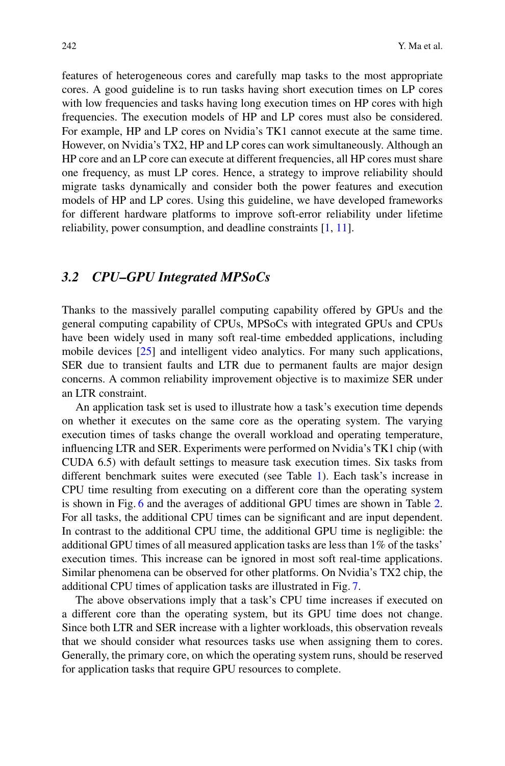features of heterogeneous cores and carefully map tasks to the most appropriate cores. A good guideline is to run tasks having short execution times on LP cores with low frequencies and tasks having long execution times on HP cores with high frequencies. The execution models of HP and LP cores must also be considered. For example, HP and LP cores on Nvidia's TK1 cannot execute at the same time. However, on Nvidia's TX2, HP and LP cores can work simultaneously. Although an HP core and an LP core can execute at different frequencies, all HP cores must share one frequency, as must LP cores. Hence, a strategy to improve reliability should migrate tasks dynamically and consider both the power features and execution models of HP and LP cores. Using this guideline, we have developed frameworks for different hardware platforms to improve soft-error reliability under lifetime reliability, power consumption, and deadline constraints [\[1,](#page-12-0) [11\]](#page-12-10).

#### *3.2 CPU–GPU Integrated MPSoCs*

Thanks to the massively parallel computing capability offered by GPUs and the general computing capability of CPUs, MPSoCs with integrated GPUs and CPUs have been widely used in many soft real-time embedded applications, including mobile devices [\[25\]](#page-13-5) and intelligent video analytics. For many such applications, SER due to transient faults and LTR due to permanent faults are major design concerns. A common reliability improvement objective is to maximize SER under an LTR constraint.

An application task set is used to illustrate how a task's execution time depends on whether it executes on the same core as the operating system. The varying execution times of tasks change the overall workload and operating temperature, influencing LTR and SER. Experiments were performed on Nvidia's TK1 chip (with CUDA 6.5) with default settings to measure task execution times. Six tasks from different benchmark suites were executed (see Table [1\)](#page-10-0). Each task's increase in CPU time resulting from executing on a different core than the operating system is shown in Fig. [6](#page-10-1) and the averages of additional GPU times are shown in Table [2.](#page-10-2) For all tasks, the additional CPU times can be significant and are input dependent. In contrast to the additional CPU time, the additional GPU time is negligible: the additional GPU times of all measured application tasks are less than 1% of the tasks' execution times. This increase can be ignored in most soft real-time applications. Similar phenomena can be observed for other platforms. On Nvidia's TX2 chip, the additional CPU times of application tasks are illustrated in Fig. [7.](#page-11-0)

The above observations imply that a task's CPU time increases if executed on a different core than the operating system, but its GPU time does not change. Since both LTR and SER increase with a lighter workloads, this observation reveals that we should consider what resources tasks use when assigning them to cores. Generally, the primary core, on which the operating system runs, should be reserved for application tasks that require GPU resources to complete.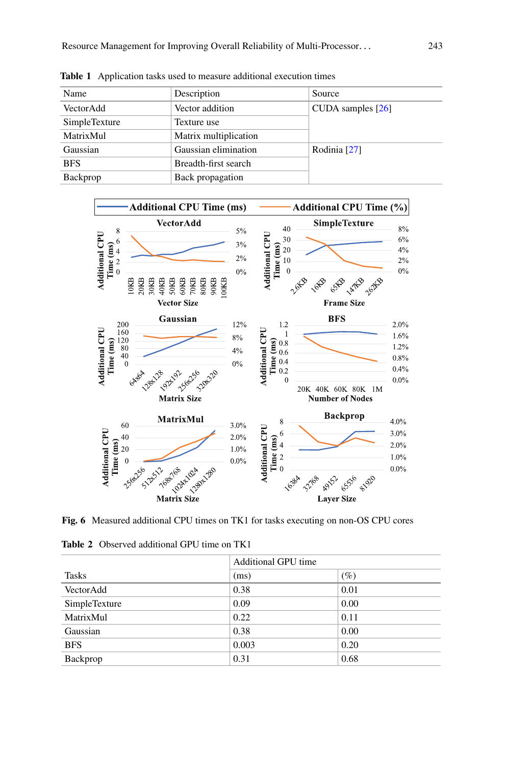| Name          | Description           | Source              |  |
|---------------|-----------------------|---------------------|--|
| VectorAdd     | Vector addition       | CUDA samples $[26]$ |  |
| SimpleTexture | Texture use           |                     |  |
| MatrixMul     | Matrix multiplication |                     |  |
| Gaussian      | Gaussian elimination  | Rodinia [27]        |  |
| <b>BFS</b>    | Breadth-first search  |                     |  |
| Backprop      | Back propagation      |                     |  |

<span id="page-10-0"></span>**Table 1** Application tasks used to measure additional execution times



<span id="page-10-1"></span>**Fig. 6** Measured additional CPU times on TK1 for tasks executing on non-OS CPU cores

<span id="page-10-2"></span>**Table 2** Observed additional GPU time on TK1

|               | <b>Additional GPU time</b> |        |
|---------------|----------------------------|--------|
| <b>Tasks</b>  | (ms)                       | $(\%)$ |
| VectorAdd     | 0.38                       | 0.01   |
| SimpleTexture | 0.09                       | 0.00   |
| MatrixMul     | 0.22                       | 0.11   |
| Gaussian      | 0.38                       | 0.00   |
| <b>BFS</b>    | 0.003                      | 0.20   |
| Backprop      | 0.31                       | 0.68   |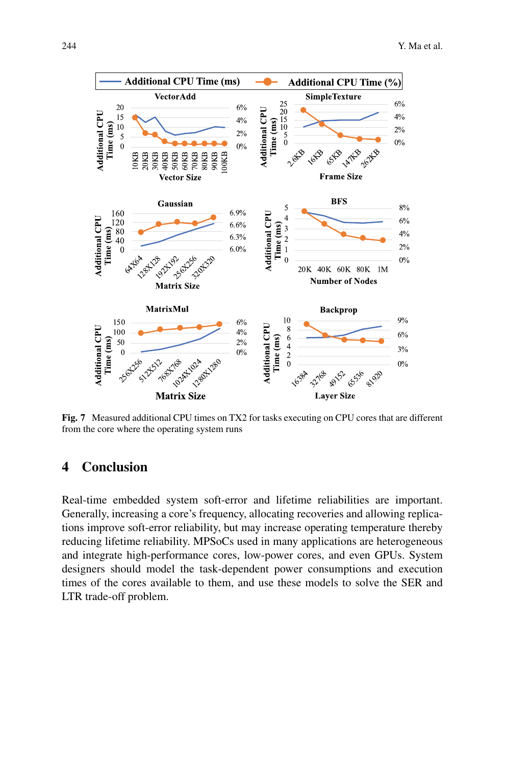

<span id="page-11-0"></span>**Fig. 7** Measured additional CPU times on TX2 for tasks executing on CPU cores that are different from the core where the operating system runs

### **4 Conclusion**

Real-time embedded system soft-error and lifetime reliabilities are important. Generally, increasing a core's frequency, allocating recoveries and allowing replications improve soft-error reliability, but may increase operating temperature thereby reducing lifetime reliability. MPSoCs used in many applications are heterogeneous and integrate high-performance cores, low-power cores, and even GPUs. System designers should model the task-dependent power consumptions and execution times of the cores available to them, and use these models to solve the SER and LTR trade-off problem.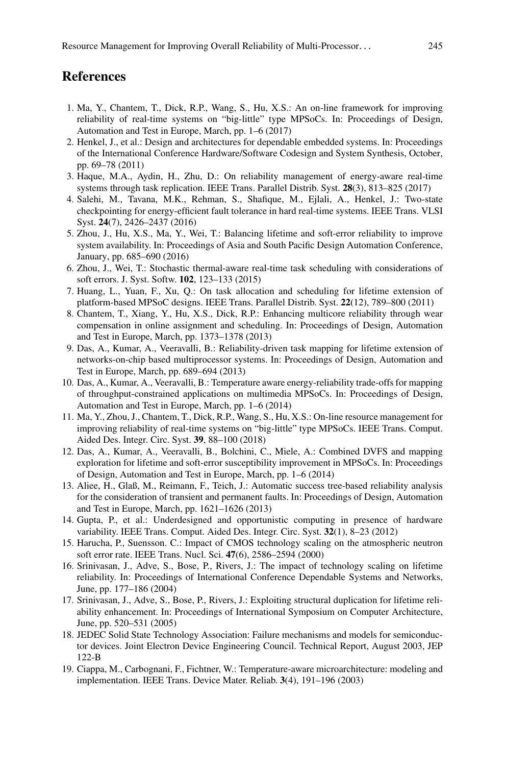# **References**

- <span id="page-12-0"></span>1. Ma, Y., Chantem, T., Dick, R.P., Wang, S., Hu, X.S.: An on-line framework for improving reliability of real-time systems on "big-little" type MPSoCs. In: Proceedings of Design, Automation and Test in Europe, March, pp. 1–6 (2017)
- <span id="page-12-1"></span>2. Henkel, J., et al.: Design and architectures for dependable embedded systems. In: Proceedings of the International Conference Hardware/Software Codesign and System Synthesis, October, pp. 69–78 (2011)
- <span id="page-12-2"></span>3. Haque, M.A., Aydin, H., Zhu, D.: On reliability management of energy-aware real-time systems through task replication. IEEE Trans. Parallel Distrib. Syst. **28**(3), 813–825 (2017)
- <span id="page-12-3"></span>4. Salehi, M., Tavana, M.K., Rehman, S., Shafique, M., Ejlali, A., Henkel, J.: Two-state checkpointing for energy-efficient fault tolerance in hard real-time systems. IEEE Trans. VLSI Syst. **24**(7), 2426–2437 (2016)
- <span id="page-12-4"></span>5. Zhou, J., Hu, X.S., Ma, Y., Wei, T.: Balancing lifetime and soft-error reliability to improve system availability. In: Proceedings of Asia and South Pacific Design Automation Conference, January, pp. 685–690 (2016)
- <span id="page-12-5"></span>6. Zhou, J., Wei, T.: Stochastic thermal-aware real-time task scheduling with considerations of soft errors. J. Syst. Softw. **102**, 123–133 (2015)
- <span id="page-12-6"></span>7. Huang, L., Yuan, F., Xu, Q.: On task allocation and scheduling for lifetime extension of platform-based MPSoC designs. IEEE Trans. Parallel Distrib. Syst. **22**(12), 789–800 (2011)
- <span id="page-12-7"></span>8. Chantem, T., Xiang, Y., Hu, X.S., Dick, R.P.: Enhancing multicore reliability through wear compensation in online assignment and scheduling. In: Proceedings of Design, Automation and Test in Europe, March, pp. 1373–1378 (2013)
- <span id="page-12-8"></span>9. Das, A., Kumar, A., Veeravalli, B.: Reliability-driven task mapping for lifetime extension of networks-on-chip based multiprocessor systems. In: Proceedings of Design, Automation and Test in Europe, March, pp. 689–694 (2013)
- <span id="page-12-9"></span>10. Das, A., Kumar, A., Veeravalli, B.: Temperature aware energy-reliability trade-offs for mapping of throughput-constrained applications on multimedia MPSoCs. In: Proceedings of Design, Automation and Test in Europe, March, pp. 1–6 (2014)
- <span id="page-12-10"></span>11. Ma, Y., Zhou, J., Chantem, T., Dick, R.P., Wang, S., Hu, X.S.: On-line resource management for improving reliability of real-time systems on "big-little" type MPSoCs. IEEE Trans. Comput. Aided Des. Integr. Circ. Syst. **39**, 88–100 (2018)
- <span id="page-12-11"></span>12. Das, A., Kumar, A., Veeravalli, B., Bolchini, C., Miele, A.: Combined DVFS and mapping exploration for lifetime and soft-error susceptibility improvement in MPSoCs. In: Proceedings of Design, Automation and Test in Europe, March, pp. 1–6 (2014)
- <span id="page-12-12"></span>13. Aliee, H., Glaß, M., Reimann, F., Teich, J.: Automatic success tree-based reliability analysis for the consideration of transient and permanent faults. In: Proceedings of Design, Automation and Test in Europe, March, pp. 1621–1626 (2013)
- <span id="page-12-13"></span>14. Gupta, P., et al.: Underdesigned and opportunistic computing in presence of hardware variability. IEEE Trans. Comput. Aided Des. Integr. Circ. Syst. **32**(1), 8–23 (2012)
- <span id="page-12-14"></span>15. Harucha, P., Suensson. C.: Impact of CMOS technology scaling on the atmospheric neutron soft error rate. IEEE Trans. Nucl. Sci. **47**(6), 2586–2594 (2000)
- <span id="page-12-15"></span>16. Srinivasan, J., Adve, S., Bose, P., Rivers, J.: The impact of technology scaling on lifetime reliability. In: Proceedings of International Conference Dependable Systems and Networks, June, pp. 177–186 (2004)
- <span id="page-12-16"></span>17. Srinivasan, J., Adve, S., Bose, P., Rivers, J.: Exploiting structural duplication for lifetime reliability enhancement. In: Proceedings of International Symposium on Computer Architecture, June, pp. 520–531 (2005)
- <span id="page-12-17"></span>18. JEDEC Solid State Technology Association: Failure mechanisms and models for semiconductor devices. Joint Electron Device Engineering Council. Technical Report, August 2003, JEP 122-B
- <span id="page-12-18"></span>19. Ciappa, M., Carbognani, F., Fichtner, W.: Temperature-aware microarchitecture: modeling and implementation. IEEE Trans. Device Mater. Reliab. **3**(4), 191–196 (2003)